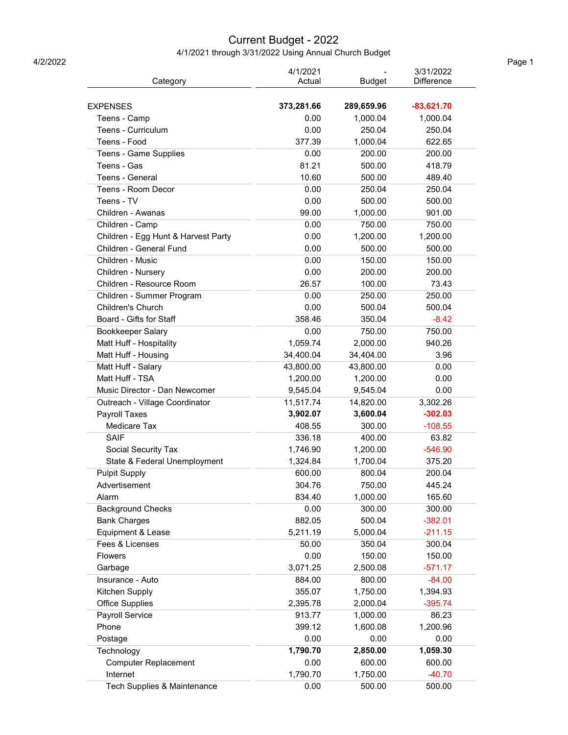## Current Budget - 2022

4/1/2021 through 3/31/2022 Using Annual Church Budget<br>Page 1

|                                                | 4/1/2021   |               | 3/31/2022         |
|------------------------------------------------|------------|---------------|-------------------|
| Category                                       | Actual     | <b>Budget</b> | <b>Difference</b> |
| <b>EXPENSES</b>                                | 373,281.66 | 289,659.96    | $-83,621.70$      |
| Teens - Camp                                   | 0.00       | 1,000.04      | 1,000.04          |
| <b>Teens - Curriculum</b>                      | 0.00       | 250.04        | 250.04            |
| Teens - Food                                   | 377.39     | 1,000.04      | 622.65            |
| Teens - Game Supplies                          | 0.00       | 200.00        | 200.00            |
| Teens - Gas                                    | 81.21      | 500.00        | 418.79            |
| Teens - General                                | 10.60      | 500.00        | 489.40            |
| Teens - Room Decor                             | 0.00       | 250.04        | 250.04            |
| Teens - TV                                     | 0.00       | 500.00        | 500.00            |
| Children - Awanas                              | 99.00      | 1,000.00      | 901.00            |
| Children - Camp                                | 0.00       | 750.00        | 750.00            |
| Children - Egg Hunt & Harvest Party            | 0.00       | 1,200.00      | 1,200.00          |
| Children - General Fund                        | 0.00       | 500.00        | 500.00            |
| Children - Music                               | 0.00       | 150.00        | 150.00            |
| Children - Nursery                             | 0.00       | 200.00        | 200.00            |
| Children - Resource Room                       | 26.57      | 100.00        | 73.43             |
|                                                | 0.00       | 250.00        | 250.00            |
| Children - Summer Program<br>Children's Church | 0.00       | 500.04        | 500.04            |
| Board - Gifts for Staff                        | 358.46     | 350.04        | $-8.42$           |
|                                                | 0.00       | 750.00        | 750.00            |
| Bookkeeper Salary                              |            |               |                   |
| Matt Huff - Hospitality                        | 1,059.74   | 2,000.00      | 940.26            |
| Matt Huff - Housing                            | 34,400.04  | 34,404.00     | 3.96              |
| Matt Huff - Salary                             | 43,800.00  | 43,800.00     | 0.00              |
| Matt Huff - TSA                                | 1,200.00   | 1,200.00      | 0.00              |
| Music Director - Dan Newcomer                  | 9,545.04   | 9,545.04      | 0.00              |
| Outreach - Village Coordinator                 | 11,517.74  | 14,820.00     | 3,302.26          |
| Payroll Taxes                                  | 3,902.07   | 3,600.04      | $-302.03$         |
| Medicare Tax                                   | 408.55     | 300.00        | $-108.55$         |
| <b>SAIF</b>                                    | 336.18     | 400.00        | 63.82             |
| Social Security Tax                            | 1,746.90   | 1,200.00      | $-546.90$         |
| State & Federal Unemployment                   | 1,324.84   | 1,700.04      | 375.20            |
| <b>Pulpit Supply</b>                           | 600.00     | 800.04        | 200.04            |
| Advertisement                                  | 304.76     | 750.00        | 445.24            |
| Alarm                                          | 834.40     | 1,000.00      | 165.60            |
| <b>Background Checks</b>                       | 0.00       | 300.00        | 300.00            |
| <b>Bank Charges</b>                            | 882.05     | 500.04        | $-382.01$         |
| Equipment & Lease                              | 5,211.19   | 5,000.04      | $-211.15$         |
| Fees & Licenses                                | 50.00      | 350.04        | 300.04            |
| Flowers                                        | 0.00       | 150.00        | 150.00            |
| Garbage                                        | 3,071.25   | 2,500.08      | $-571.17$         |
| Insurance - Auto                               | 884.00     | 800.00        | $-84.00$          |
| Kitchen Supply                                 | 355.07     | 1,750.00      | 1,394.93          |
| <b>Office Supplies</b>                         | 2,395.78   | 2,000.04      | $-395.74$         |
| Payroll Service                                | 913.77     | 1,000.00      | 86.23             |
| Phone                                          | 399.12     | 1,600.08      | 1,200.96          |
| Postage                                        | 0.00       | 0.00          | 0.00              |
| Technology                                     | 1,790.70   | 2,850.00      | 1,059.30          |
| <b>Computer Replacement</b>                    | 0.00       | 600.00        | 600.00            |
| Internet                                       | 1,790.70   | 1,750.00      | $-40.70$          |
| Tech Supplies & Maintenance                    | 0.00       | 500.00        | 500.00            |